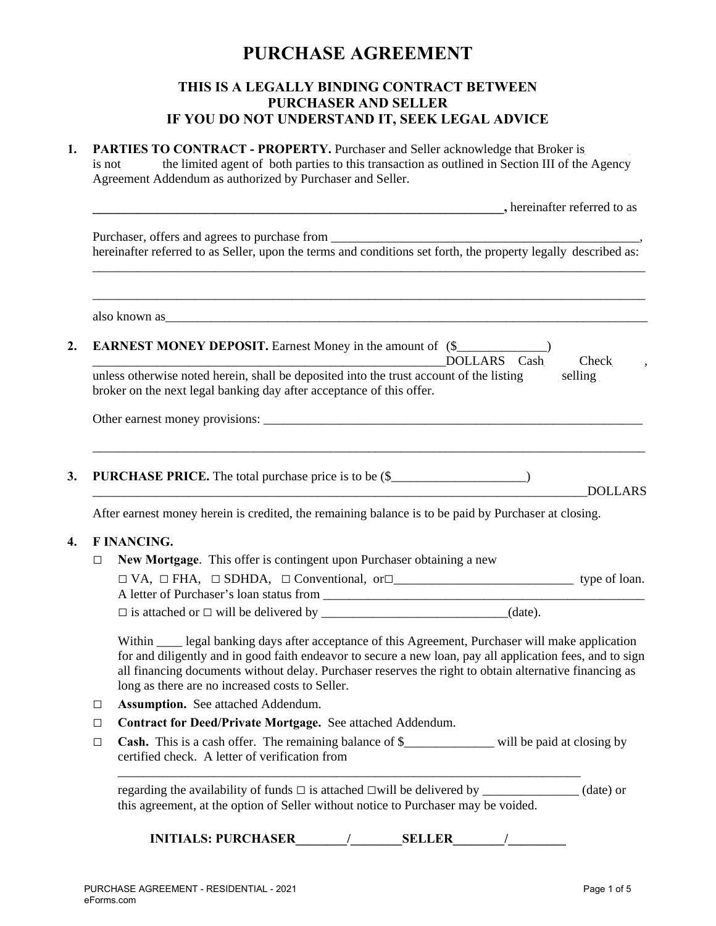# **PURCHASE AGREEMENT**

## **THIS IS A LEGALLY BINDING CONTRACT BETWEEN PURCHASER AND SELLER IF YOU DO NOT UNDERSTAND IT, SEEK LEGAL ADVICE**

| is not | <b>PARTIES TO CONTRACT - PROPERTY.</b> Purchaser and Seller acknowledge that Broker is<br>the limited agent of both parties to this transaction as outlined in Section III of the Agency<br>Agreement Addendum as authorized by Purchaser and Seller.                                                                                                                         |
|--------|-------------------------------------------------------------------------------------------------------------------------------------------------------------------------------------------------------------------------------------------------------------------------------------------------------------------------------------------------------------------------------|
|        | , hereinafter referred to as                                                                                                                                                                                                                                                                                                                                                  |
|        | hereinafter referred to as Seller, upon the terms and conditions set forth, the property legally described as:                                                                                                                                                                                                                                                                |
|        |                                                                                                                                                                                                                                                                                                                                                                               |
|        | <b>EARNEST MONEY DEPOSIT.</b> Earnest Money in the amount of (\$<br>DOLLARS Cash<br>Check,                                                                                                                                                                                                                                                                                    |
|        | unless otherwise noted herein, shall be deposited into the trust account of the listing selling<br>broker on the next legal banking day after acceptance of this offer.                                                                                                                                                                                                       |
|        |                                                                                                                                                                                                                                                                                                                                                                               |
|        | <b>PURCHASE PRICE.</b> The total purchase price is to be (\$__________________________)<br><b>DOLLARS</b>                                                                                                                                                                                                                                                                     |
|        | After earnest money herein is credited, the remaining balance is to be paid by Purchaser at closing.                                                                                                                                                                                                                                                                          |
|        | <b>F INANCING.</b>                                                                                                                                                                                                                                                                                                                                                            |
| □      | New Mortgage. This offer is contingent upon Purchaser obtaining a new                                                                                                                                                                                                                                                                                                         |
|        |                                                                                                                                                                                                                                                                                                                                                                               |
|        | $\Box$ is attached or $\Box$ will be delivered by __________________________________(date).                                                                                                                                                                                                                                                                                   |
|        | Within _____ legal banking days after acceptance of this Agreement, Purchaser will make application<br>for and diligently and in good faith endeavor to secure a new loan, pay all application fees, and to sign<br>all financing documents without delay. Purchaser reserves the right to obtain alternative financing as<br>long as there are no increased costs to Seller. |
| □      | Assumption. See attached Addendum.                                                                                                                                                                                                                                                                                                                                            |
| □      | Contract for Deed/Private Mortgage. See attached Addendum.                                                                                                                                                                                                                                                                                                                    |
| □      | Cash. This is a cash offer. The remaining balance of \$______________ will be paid at closing by<br>certified check. A letter of verification from                                                                                                                                                                                                                            |
|        | (date) or<br>this agreement, at the option of Seller without notice to Purchaser may be voided.                                                                                                                                                                                                                                                                               |
|        | <b>INITIALS: PURCHASER</b><br><b>SELLER</b>                                                                                                                                                                                                                                                                                                                                   |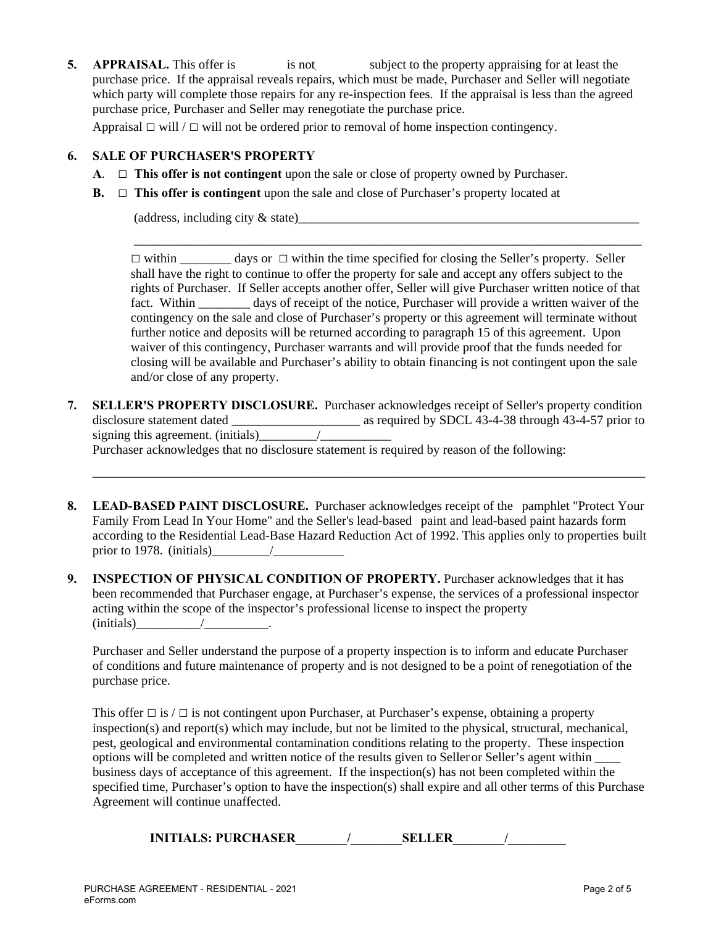**5. APPRAISAL.** This offer is is not all subject to the property appraising for at least the purchase price. If the appraisal reveals repairs, which must be made, Purchaser and Seller will negotiate which party will complete those repairs for any re-inspection fees. If the appraisal is less than the agreed purchase price, Purchaser and Seller may renegotiate the purchase price.

Appraisal **□** will / **□** will not be ordered prior to removal of home inspection contingency.

### **6. SALE OF PURCHASER'S PROPERTY**

- **A**. **□ This offer is not contingent** upon the sale or close of property owned by Purchaser.
- **B.** □ **This offer is contingent** upon the sale and close of Purchaser's property located at

 $(\text{address}, \text{including city} \& \text{state})$ 

**□** within \_\_\_\_\_\_\_\_ days or **□** within the time specified for closing the Seller's property. Seller shall have the right to continue to offer the property for sale and accept any offers subject to the rights of Purchaser. If Seller accepts another offer, Seller will give Purchaser written notice of that fact. Within \_\_\_\_\_\_\_\_ days of receipt of the notice, Purchaser will provide a written waiver of the contingency on the sale and close of Purchaser's property or this agreement will terminate without further notice and deposits will be returned according to paragraph 15 of this agreement. Upon waiver of this contingency, Purchaser warrants and will provide proof that the funds needed for closing will be available and Purchaser's ability to obtain financing is not contingent upon the sale and/or close of any property.

\_\_\_\_\_\_\_\_\_\_\_\_\_\_\_\_\_\_\_\_\_\_\_\_\_\_\_\_\_\_\_\_\_\_\_\_\_\_\_\_\_\_\_\_\_\_\_\_\_\_\_\_\_\_\_\_\_\_\_\_\_\_\_\_\_\_\_\_\_\_\_\_\_\_\_\_\_\_\_

**7. SELLER'S PROPERTY DISCLOSURE.** Purchaser acknowledges receipt of Seller's property condition disclosure statement dated as required by SDCL 43-4-38 through 43-4-57 prior to signing this agreement. (initials)  $\frac{1}{2}$ Purchaser acknowledges that no disclosure statement is required by reason of the following:

\_\_\_\_\_\_\_\_\_\_\_\_\_\_\_\_\_\_\_\_\_\_\_\_\_\_\_\_\_\_\_\_\_\_\_\_\_\_\_\_\_\_\_\_\_\_\_\_\_\_\_\_\_\_\_\_\_\_\_\_\_\_\_\_\_\_\_\_\_\_\_\_\_\_\_\_\_\_\_\_\_\_\_\_\_\_

- **8. LEAD-BASED PAINT DISCLOSURE.** Purchaser acknowledges receipt of the pamphlet "Protect Your Family From Lead In Your Home" and the Seller's lead-based paint and lead-based paint hazards form according to the Residential Lead-Base Hazard Reduction Act of 1992. This applies only to properties built prior to 1978. (initials)\_\_\_\_\_\_\_\_\_/\_\_\_\_\_\_\_\_\_\_\_
- **9. INSPECTION OF PHYSICAL CONDITION OF PROPERTY.** Purchaser acknowledges that it has been recommended that Purchaser engage, at Purchaser's expense, the services of a professional inspector acting within the scope of the inspector's professional license to inspect the property  $(i \text{nitials})$  /

Purchaser and Seller understand the purpose of a property inspection is to inform and educate Purchaser of conditions and future maintenance of property and is not designed to be a point of renegotiation of the purchase price.

This offer **□** is / **□** is not contingent upon Purchaser, at Purchaser's expense, obtaining a property inspection(s) and report(s) which may include, but not be limited to the physical, structural, mechanical, pest, geological and environmental contamination conditions relating to the property. These inspection options will be completed and written notice of the results given to Seller or Seller's agent within \_\_\_\_ business days of acceptance of this agreement. If the inspection(s) has not been completed within the specified time, Purchaser's option to have the inspection(s) shall expire and all other terms of this Purchase Agreement will continue unaffected.

**INITIALS: PURCHASER\_\_\_\_\_\_\_\_/\_\_\_\_\_\_\_\_SELLER\_\_\_\_\_\_\_\_/\_\_\_\_\_\_\_\_\_**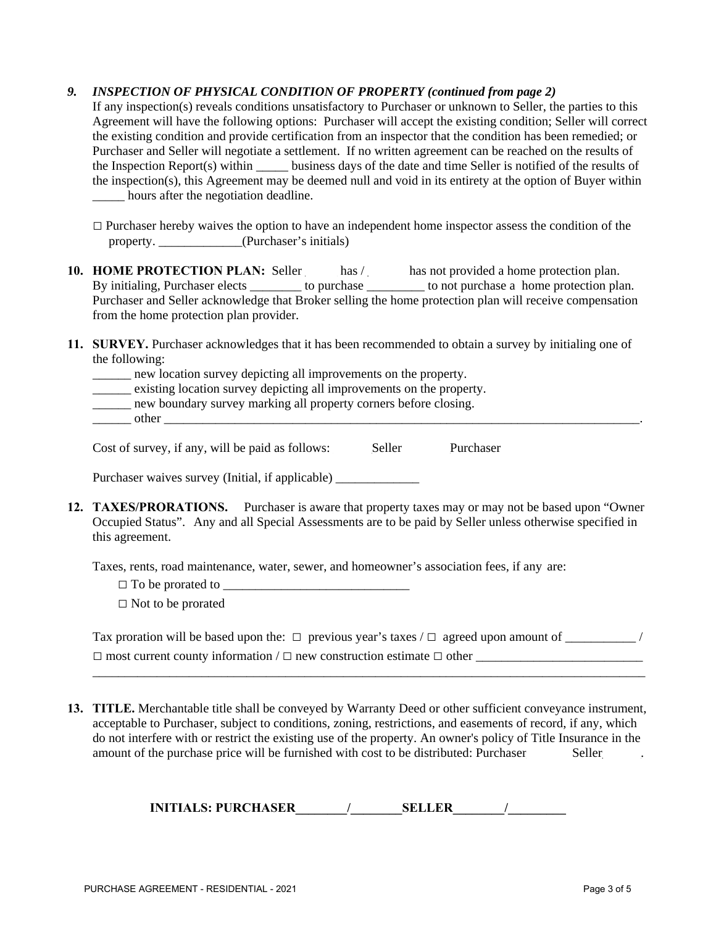### *9. INSPECTION OF PHYSICAL CONDITION OF PROPERTY (continued from page 2)*

If any inspection(s) reveals conditions unsatisfactory to Purchaser or unknown to Seller, the parties to this Agreement will have the following options: Purchaser will accept the existing condition; Seller will correct the existing condition and provide certification from an inspector that the condition has been remedied; or Purchaser and Seller will negotiate a settlement. If no written agreement can be reached on the results of the Inspection Report(s) within business days of the date and time Seller is notified of the results of the inspection(s), this Agreement may be deemed null and void in its entirety at the option of Buyer within \_\_\_\_\_ hours after the negotiation deadline.

- □ Purchaser hereby waives the option to have an independent home inspector assess the condition of the property. \_\_\_\_\_\_\_\_\_\_\_\_\_(Purchaser's initials)
- **10. HOME PROTECTION PLAN:** Seller has / has not provided a home protection plan. By initialing, Purchaser elects \_\_\_\_\_\_\_\_\_ to purchase \_\_\_\_\_\_\_\_\_\_ to not purchase a home protection plan. Purchaser and Seller acknowledge that Broker selling the home protection plan will receive compensation from the home protection plan provider.
- **11. SURVEY.** Purchaser acknowledges that it has been recommended to obtain a survey by initialing one of the following:
	- \_\_\_\_\_\_ new location survey depicting all improvements on the property.
	- \_\_\_\_\_\_ existing location survey depicting all improvements on the property.
	- new boundary survey marking all property corners before closing.
	- other

Cost of survey, if any, will be paid as follows: Seller Purchaser

Purchaser waives survey (Initial, if applicable) \_\_\_\_\_\_\_\_\_\_\_\_\_\_\_\_\_\_\_\_\_\_\_\_\_\_\_\_\_\_\_

**12. TAXES/PRORATIONS.** Purchaser is aware that property taxes may or may not be based upon "Owner Occupied Status". Any and all Special Assessments are to be paid by Seller unless otherwise specified in this agreement.

Taxes, rents, road maintenance, water, sewer, and homeowner's association fees, if any are:

□ To be prorated to <u></u>

**□** Not to be prorated

| Tax proration will be based upon the: $\Box$ previous year's taxes / $\Box$ agreed upon amount of |  |
|---------------------------------------------------------------------------------------------------|--|
| $\Box$ most current county information / $\Box$ new construction estimate $\Box$ other            |  |

\_\_\_\_\_\_\_\_\_\_\_\_\_\_\_\_\_\_\_\_\_\_\_\_\_\_\_\_\_\_\_\_\_\_\_\_\_\_\_\_\_\_\_\_\_\_\_\_\_\_\_\_\_\_\_\_\_\_\_\_\_\_\_\_\_\_\_\_\_\_\_\_\_\_\_\_\_\_\_\_\_\_\_\_\_\_

**13. TITLE.** Merchantable title shall be conveyed by Warranty Deed or other sufficient conveyance instrument, acceptable to Purchaser, subject to conditions, zoning, restrictions, and easements of record, if any, which do not interfere with or restrict the existing use of the property. An owner's policy of Title Insurance in the amount of the purchase price will be furnished with cost to be distributed: Purchaser Seller

| <b>INITIALS: PURCHASER</b> | <b>SELLER</b> |
|----------------------------|---------------|
|                            |               |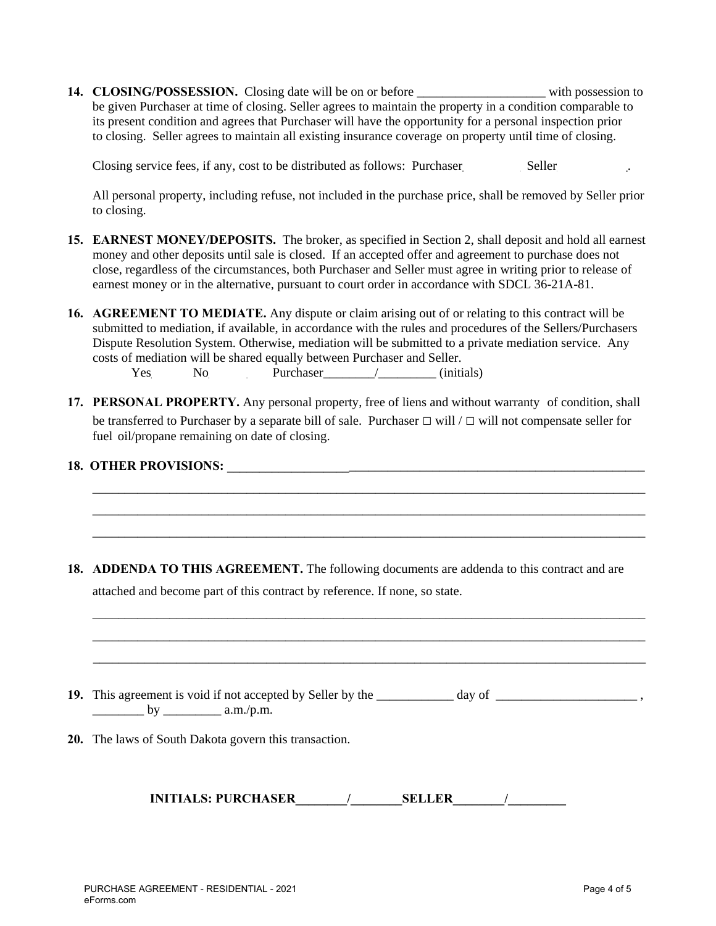14. CLOSING/POSSESSION. Closing date will be on or before \_\_\_\_\_\_\_\_\_\_\_\_\_\_\_\_\_\_\_\_\_\_\_ with possession to be given Purchaser at time of closing. Seller agrees to maintain the property in a condition comparable to its present condition and agrees that Purchaser will have the opportunity for a personal inspection prior to closing. Seller agrees to maintain all existing insurance coverage on property until time of closing.

Closing service fees, if any, cost to be distributed as follows: Purchaser Seller Seller

All personal property, including refuse, not included in the purchase price, shall be removed by Seller prior to closing.

- **15. EARNEST MONEY/DEPOSITS.** The broker, as specified in Section 2, shall deposit and hold all earnest money and other deposits until sale is closed. If an accepted offer and agreement to purchase does not close, regardless of the circumstances, both Purchaser and Seller must agree in writing prior to release of earnest money or in the alternative, pursuant to court order in accordance with SDCL 36-21A-81.
- **16. AGREEMENT TO MEDIATE.** Any dispute or claim arising out of or relating to this contract will be submitted to mediation, if available, in accordance with the rules and procedures of the Sellers/Purchasers Dispute Resolution System. Otherwise, mediation will be submitted to a private mediation service. Any costs of mediation will be shared equally between Purchaser and Seller.  $Yes$  No Purchaser\_\_\_\_\_\_\_\_/\_\_\_\_\_\_\_\_\_ (initials)
- **17. PERSONAL PROPERTY.** Any personal property, free of liens and without warranty of condition, shall be transferred to Purchaser by a separate bill of sale. Purchaser **□** will / **□** will not compensate seller for fuel oil/propane remaining on date of closing.

\_\_\_\_\_\_\_\_\_\_\_\_\_\_\_\_\_\_\_\_\_\_\_\_\_\_\_\_\_\_\_\_\_\_\_\_\_\_\_\_\_\_\_\_\_\_\_\_\_\_\_\_\_\_\_\_\_\_\_\_\_\_\_\_\_\_\_\_\_\_\_\_\_\_\_\_\_\_\_\_\_\_\_\_\_\_ \_\_\_\_\_\_\_\_\_\_\_\_\_\_\_\_\_\_\_\_\_\_\_\_\_\_\_\_\_\_\_\_\_\_\_\_\_\_\_\_\_\_\_\_\_\_\_\_\_\_\_\_\_\_\_\_\_\_\_\_\_\_\_\_\_\_\_\_\_\_\_\_\_\_\_\_\_\_\_\_\_\_\_\_\_\_ \_\_\_\_\_\_\_\_\_\_\_\_\_\_\_\_\_\_\_\_\_\_\_\_\_\_\_\_\_\_\_\_\_\_\_\_\_\_\_\_\_\_\_\_\_\_\_\_\_\_\_\_\_\_\_\_\_\_\_\_\_\_\_\_\_\_\_\_\_\_\_\_\_\_\_\_\_\_\_\_\_\_\_\_\_\_

\_\_\_\_\_\_\_\_\_\_\_\_\_\_\_\_\_\_\_\_\_\_\_\_\_\_\_\_\_\_\_\_\_\_\_\_\_\_\_\_\_\_\_\_\_\_\_\_\_\_\_\_\_\_\_\_\_\_\_\_\_\_\_\_\_\_\_\_\_\_\_\_\_\_\_\_\_\_\_\_\_\_\_\_\_\_

#### **18. OTHER PROVISIONS: \_\_\_\_\_\_\_\_\_\_\_\_\_\_\_\_\_\_\_**\_\_\_\_\_\_\_\_\_\_\_\_\_\_\_\_\_\_\_\_\_\_\_\_\_\_\_\_\_\_\_\_\_\_\_\_\_\_\_\_\_\_\_\_\_\_

**18. ADDENDA TO THIS AGREEMENT.** The following documents are addenda to this contract and are attached and become part of this contract by reference. If none, so state.



**INITIALS: PURCHASER\_\_\_\_\_\_\_\_/\_\_\_\_\_\_\_\_SELLER\_\_\_\_\_\_\_\_/\_\_\_\_\_\_\_\_\_**